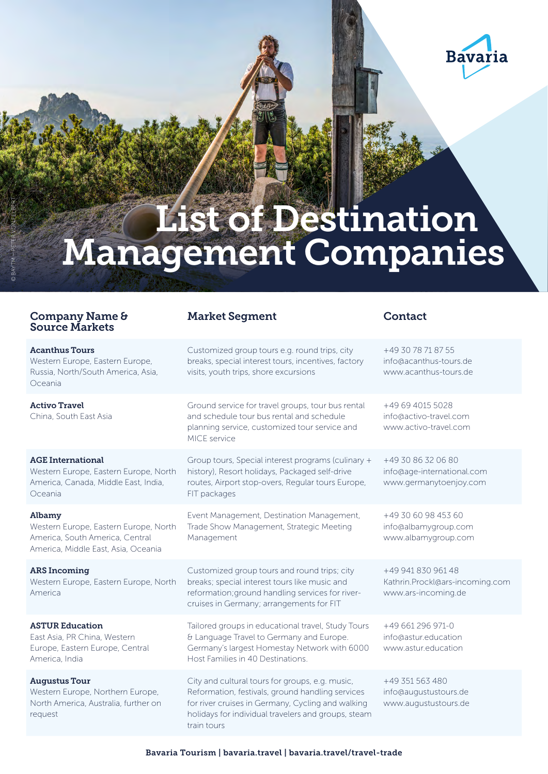

# **List of Destination** Management Companies

## Company Name & Source Markets

© BAYTM – PETER VON FELBERT

Acanthus Tours Western Europe, Eastern Europe, Russia, North/South America, Asia, Oceania Activo Travel China, South East Asia

#### AGE International

Western Europe, Eastern Europe, North America, Canada, Middle East, India, Oceania

Albamy Western Europe, Eastern Europe, North America, South America, Central America, Middle East, Asia, Oceania

### ARS Incoming

Western Europe, Eastern Europe, North America

#### ASTUR Education

East Asia, PR China, Western Europe, Eastern Europe, Central America, India

Augustus Tour Western Europe, Northern Europe North America, Australia, further on request

#### Market Segment Contact

Customized group tours e.g. round trips, city breaks, special interest tours, incentives, factory visits, youth trips, shore excursions Ground service for travel groups, tour bus rental

and schedule tour bus rental and schedule planning service, customized tour service and MICE service

Group tours, Special interest programs (culinary + history), Resort holidays, Packaged self-drive routes, Airport stop-overs, Regular tours Europe, FIT packages

Event Management, Destination Management, Trade Show Management, Strategic Meeting Management

Customized group tours and round trips; city breaks; special interest tours like music and reformation; ground handling services for rivercruises in Germany; arrangements for FIT

Tailored groups in educational travel, Study Tours & Language Travel to Germany and Europe. Germany's largest Homestay Network with 6000 Host Families in 40 Destinations.

City and cultural tours for groups, e.g. music, Reformation, festivals, ground handling services for river cruises in Germany, Cycling and walking holidays for individual travelers and groups, steam train tours

+49 30 78 71 87 55

| info@acanthus-tours.de |  |  |
|------------------------|--|--|
| www.acanthus-tours.de  |  |  |
|                        |  |  |
|                        |  |  |
| +49 69 4015 5028       |  |  |
| info@activo-travel.com |  |  |
| www.activo-travel.com  |  |  |
|                        |  |  |

+49 30 86 32 06 80 [info@age-international.com](mailto:info@age-international.com) [www.germanytoenjoy.com](http://www.germanytoenjoy.com)

+49 30 60 98 453 60 [info@albamygroup.com](mailto:info@albamygroup.com) [www.albamygroup.com](http://www.albamygroup.com)

+49 941 830 961 48 [Kathrin.Prockl@ars-incoming.com](mailto:Kathrin.Prockl@ars-incoming.com) [www.ars-incoming.de](http://www.ars-incoming.de)

+49 661 296 971-0 [info@astur.education](mailto:info@astur.education) www.astur.education

+49 351 563 480 [info@augustustours.de](mailto:info@augustustours.de) [www.augustustours.de](http://www.augustustours.de)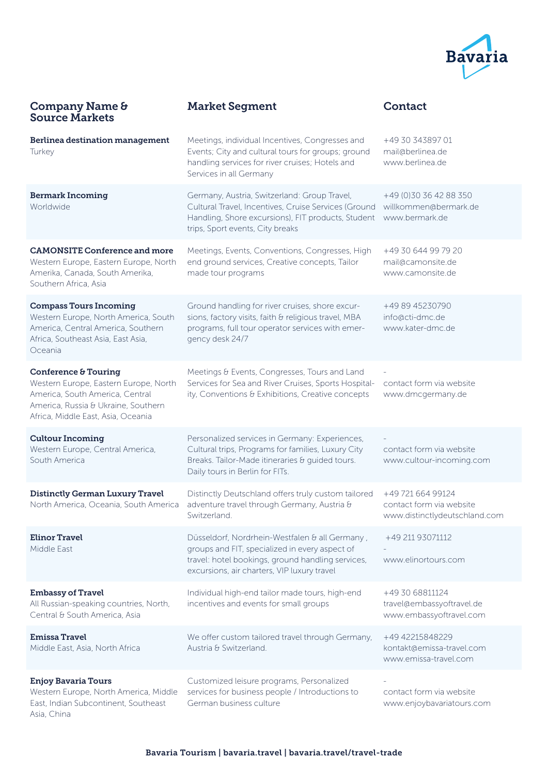

| <b>Company Name &amp;</b><br><b>Source Markets</b>                                                                                                                            | <b>Market Segment</b>                                                                                                                                                                                | Contact                                                                        |
|-------------------------------------------------------------------------------------------------------------------------------------------------------------------------------|------------------------------------------------------------------------------------------------------------------------------------------------------------------------------------------------------|--------------------------------------------------------------------------------|
| Berlinea destination management<br>Turkey                                                                                                                                     | Meetings, individual Incentives, Congresses and<br>Events; City and cultural tours for groups; ground<br>handling services for river cruises; Hotels and<br>Services in all Germany                  | +49 30 343897 01<br>mail@berlinea.de<br>www.berlinea.de                        |
| <b>Bermark Incoming</b><br>Worldwide                                                                                                                                          | Germany, Austria, Switzerland: Group Travel,<br>Cultural Travel, Incentives, Cruise Services (Ground<br>Handling, Shore excursions), FIT products, Student<br>trips, Sport events, City breaks       | +49 (0)30 36 42 88 350<br>willkommen@bermark.de<br>www.bermark.de              |
| <b>CAMONSITE Conference and more</b><br>Western Europe, Eastern Europe, North<br>Amerika, Canada, South Amerika,<br>Southern Africa, Asia                                     | Meetings, Events, Conventions, Congresses, High<br>end ground services, Creative concepts, Tailor<br>made tour programs                                                                              | +49 30 644 99 79 20<br>mail@camonsite.de<br>www.camonsite.de                   |
| <b>Compass Tours Incoming</b><br>Western Europe, North America, South<br>America, Central America, Southern<br>Africa, Southeast Asia, East Asia,<br>Oceania                  | Ground handling for river cruises, shore excur-<br>sions, factory visits, faith & religious travel, MBA<br>programs, full tour operator services with emer-<br>gency desk 24/7                       | +49 89 45230790<br>info@cti-dmc.de<br>www.kater-dmc.de                         |
| Conference & Touring<br>Western Europe, Eastern Europe, North<br>America, South America, Central<br>America, Russia & Ukraine, Southern<br>Africa, Middle East, Asia, Oceania | Meetings & Events, Congresses, Tours and Land<br>Services for Sea and River Cruises, Sports Hospital-<br>ity, Conventions & Exhibitions, Creative concepts                                           | contact form via website<br>www.dmcgermany.de                                  |
| <b>Cultour Incoming</b><br>Western Europe, Central America,<br>South America                                                                                                  | Personalized services in Germany: Experiences,<br>Cultural trips, Programs for families, Luxury City<br>Breaks. Tailor-Made itineraries & guided tours.<br>Daily tours in Berlin for FITs.           | contact form via website<br>www.cultour-incoming.com                           |
| <b>Distinctly German Luxury Travel</b><br>North America, Oceania, South America                                                                                               | Distinctly Deutschland offers truly custom tailored<br>adventure travel through Germany, Austria &<br>Switzerland.                                                                                   | +49 721 664 99124<br>contact form via website<br>www.distinctlydeutschland.com |
| <b>Elinor Travel</b><br>Middle East                                                                                                                                           | Düsseldorf, Nordrhein-Westfalen & all Germany,<br>groups and FIT, specialized in every aspect of<br>travel: hotel bookings, ground handling services,<br>excursions, air charters, VIP luxury travel | +49 211 93071112<br>www.elinortours.com                                        |
| <b>Embassy of Travel</b><br>All Russian-speaking countries, North,<br>Central & South America, Asia                                                                           | Individual high-end tailor made tours, high-end<br>incentives and events for small groups                                                                                                            | +49 30 68811124<br>travel@embassyoftravel.de<br>www.embassyoftravel.com        |
| <b>Emissa Travel</b><br>Middle East, Asia, North Africa                                                                                                                       | We offer custom tailored travel through Germany,<br>Austria & Switzerland.                                                                                                                           | +49 42215848229<br>kontakt@emissa-travel.com<br>www.emissa-travel.com          |
| <b>Enjoy Bavaria Tours</b><br>Western Europe, North America, Middle<br>East, Indian Subcontinent, Southeast<br>Asia, China                                                    | Customized leisure programs, Personalized<br>services for business people / Introductions to<br>German business culture                                                                              | contact form via website<br>www.enjoybavariatours.com                          |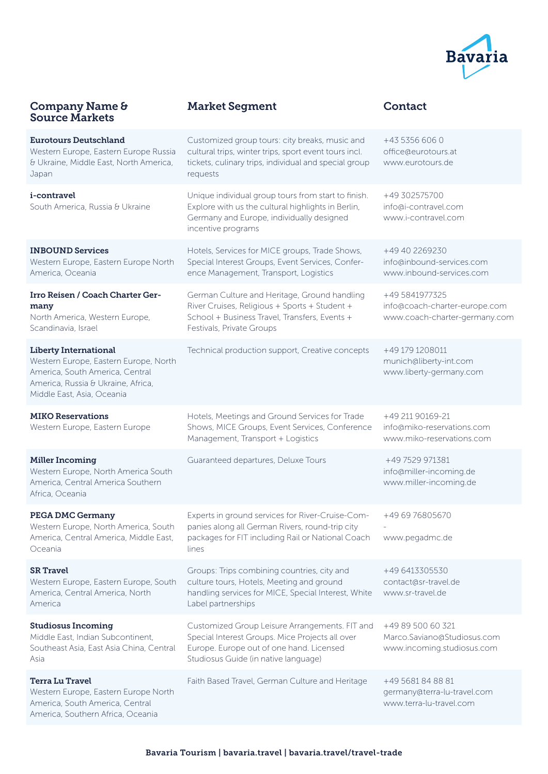

#### Company Name & Source Markets

## Market Segment and Contact

| <b>Eurotours Deutschland</b><br>Western Europe, Eastern Europe Russia<br>& Ukraine, Middle East, North America,<br>Japan                                                     | Customized group tours: city breaks, music and<br>cultural trips, winter trips, sport event tours incl.<br>tickets, culinary trips, individual and special group<br>requests          | +43 5356 606 0<br>office@eurotours.at<br>www.eurotours.de                        |
|------------------------------------------------------------------------------------------------------------------------------------------------------------------------------|---------------------------------------------------------------------------------------------------------------------------------------------------------------------------------------|----------------------------------------------------------------------------------|
| i-contravel<br>South America, Russia & Ukraine                                                                                                                               | Unique individual group tours from start to finish.<br>Explore with us the cultural highlights in Berlin,<br>Germany and Europe, individually designed<br>incentive programs          | +49 302575700<br>info@i-contravel.com<br>www.i-contravel.com                     |
| <b>INBOUND Services</b><br>Western Europe, Eastern Europe North<br>America, Oceania                                                                                          | Hotels, Services for MICE groups, Trade Shows,<br>Special Interest Groups, Event Services, Confer-<br>ence Management, Transport, Logistics                                           | +49 40 2269230<br>info@inbound-services.com<br>www.inbound-services.com          |
| Irro Reisen / Coach Charter Ger-<br>many<br>North America, Western Europe,<br>Scandinavia, Israel                                                                            | German Culture and Heritage, Ground handling<br>River Cruises, Religious + Sports + Student +<br>School + Business Travel, Transfers, Events +<br>Festivals, Private Groups           | +49 5841977325<br>info@coach-charter-europe.com<br>www.coach-charter-germany.com |
| <b>Liberty International</b><br>Western Europe, Eastern Europe, North<br>America, South America, Central<br>America, Russia & Ukraine, Africa,<br>Middle East, Asia, Oceania | Technical production support, Creative concepts                                                                                                                                       | +49 179 1208011<br>munich@liberty-int.com<br>www.liberty-germany.com             |
| <b>MIKO Reservations</b><br>Western Europe, Eastern Europe                                                                                                                   | Hotels, Meetings and Ground Services for Trade<br>Shows, MICE Groups, Event Services, Conference<br>Management, Transport + Logistics                                                 | +49 211 90169-21<br>info@miko-reservations.com<br>www.miko-reservations.com      |
| <b>Miller Incoming</b><br>Western Europe, North America South<br>America, Central America Southern<br>Africa, Oceania                                                        | Guaranteed departures, Deluxe Tours                                                                                                                                                   | +49 7529 971381<br>info@miller-incoming.de<br>www.miller-incoming.de             |
| <b>PEGA DMC Germany</b><br>Western Europe, North America, South<br>America, Central America, Middle East,<br>Oceania                                                         | Experts in ground services for River-Cruise-Com-<br>panies along all German Rivers, round-trip city<br>packages for FIT including Rail or National Coach<br>lines                     | +49 69 76805670<br>www.pegadmc.de                                                |
| <b>SR Travel</b><br>Western Europe, Eastern Europe, South<br>America, Central America, North<br>America                                                                      | Groups: Trips combining countries, city and<br>culture tours, Hotels, Meeting and ground<br>handling services for MICE, Special Interest, White<br>Label partnerships                 | +49 6413305530<br>contact@sr-travel.de<br>www.sr-travel.de                       |
| <b>Studiosus Incoming</b><br>Middle East, Indian Subcontinent,<br>Southeast Asia, East Asia China, Central<br>Asia                                                           | Customized Group Leisure Arrangements. FIT and<br>Special Interest Groups. Mice Projects all over<br>Europe. Europe out of one hand. Licensed<br>Studiosus Guide (in native language) | +49 89 500 60 321<br>Marco.Saviano@Studiosus.com<br>www.incoming.studiosus.com   |
| <b>Terra Lu Travel</b><br>Western Europe, Eastern Europe North<br>America, South America, Central<br>America, Southern Africa, Oceania                                       | Faith Based Travel, German Culture and Heritage                                                                                                                                       | +49 5681 84 88 81<br>germany@terra-lu-travel.com<br>www.terra-lu-travel.com      |